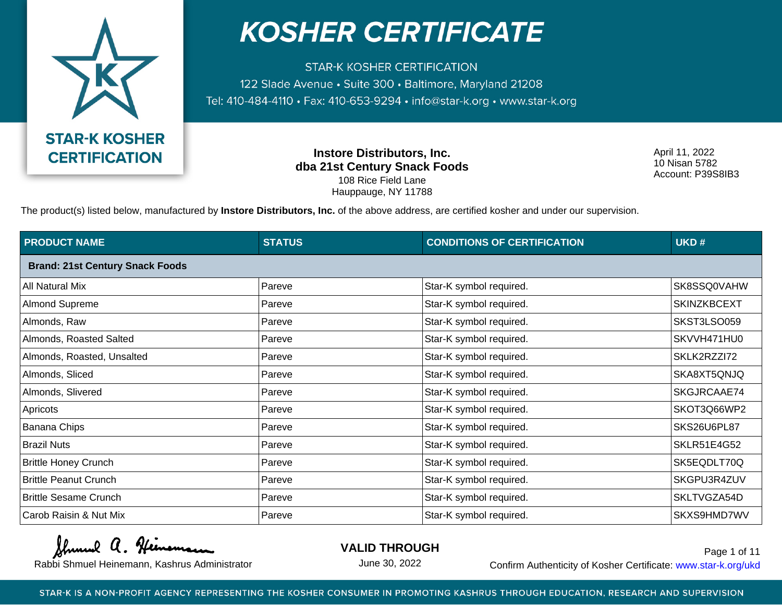

**STAR-K KOSHER CERTIFICATION** 122 Slade Avenue • Suite 300 • Baltimore, Maryland 21208 Tel: 410-484-4110 · Fax: 410-653-9294 · info@star-k.org · www.star-k.org

> **Instore Distributors, Inc. dba 21st Century Snack Foods** 108 Rice Field Lane Hauppauge, NY 11788

April 11, 2022 10 Nisan 5782 Account: P39S8IB3

The product(s) listed below, manufactured by **Instore Distributors, Inc.** of the above address, are certified kosher and under our supervision.

| <b>PRODUCT NAME</b>                    | <b>STATUS</b> | <b>CONDITIONS OF CERTIFICATION</b> | UKD#               |
|----------------------------------------|---------------|------------------------------------|--------------------|
| <b>Brand: 21st Century Snack Foods</b> |               |                                    |                    |
| All Natural Mix                        | Pareve        | Star-K symbol required.            | SK8SSQ0VAHW        |
| <b>Almond Supreme</b>                  | Pareve        | Star-K symbol required.            | <b>SKINZKBCEXT</b> |
| Almonds, Raw                           | Pareve        | Star-K symbol required.            | SKST3LSO059        |
| Almonds, Roasted Salted                | Pareve        | Star-K symbol required.            | SKVVH471HU0        |
| Almonds, Roasted, Unsalted             | Pareve        | Star-K symbol required.            | SKLK2RZZI72        |
| Almonds, Sliced                        | Pareve        | Star-K symbol required.            | SKA8XT5QNJQ        |
| Almonds, Slivered                      | Pareve        | Star-K symbol required.            | SKGJRCAAE74        |
| Apricots                               | Pareve        | Star-K symbol required.            | SKOT3Q66WP2        |
| Banana Chips                           | Pareve        | Star-K symbol required.            | SKS26U6PL87        |
| <b>Brazil Nuts</b>                     | Pareve        | Star-K symbol required.            | <b>SKLR51E4G52</b> |
| <b>Brittle Honey Crunch</b>            | Pareve        | Star-K symbol required.            | SK5EQDLT70Q        |
| <b>Brittle Peanut Crunch</b>           | Pareve        | Star-K symbol required.            | SKGPU3R4ZUV        |
| <b>Brittle Sesame Crunch</b>           | Pareve        | Star-K symbol required.            | SKLTVGZA54D        |
| Carob Raisin & Nut Mix                 | Pareve        | Star-K symbol required.            | SKXS9HMD7WV        |

Shumud a. Heinema

**VALID THROUGH**

June 30, 2022

Rabbi Shmuel Heinemann, Kashrus Administrator **Confirm Authenticity of Kosher Certificate:** www.star-k.org/ukd Page 1 of 11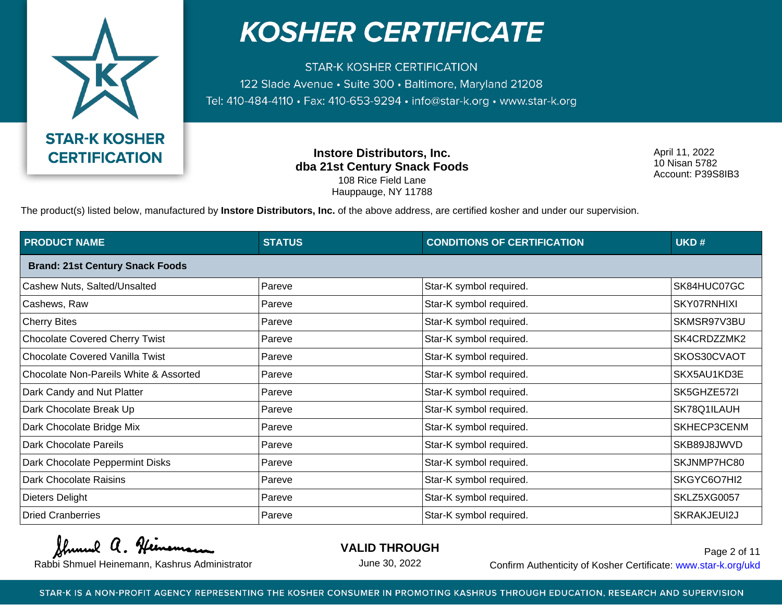

**STAR-K KOSHER CERTIFICATION** 122 Slade Avenue • Suite 300 • Baltimore, Maryland 21208 Tel: 410-484-4110 · Fax: 410-653-9294 · info@star-k.org · www.star-k.org

> **Instore Distributors, Inc. dba 21st Century Snack Foods** 108 Rice Field Lane Hauppauge, NY 11788

April 11, 2022 10 Nisan 5782 Account: P39S8IB3

The product(s) listed below, manufactured by **Instore Distributors, Inc.** of the above address, are certified kosher and under our supervision.

| <b>PRODUCT NAME</b>                    | <b>STATUS</b> | <b>CONDITIONS OF CERTIFICATION</b> | UKD#        |
|----------------------------------------|---------------|------------------------------------|-------------|
| <b>Brand: 21st Century Snack Foods</b> |               |                                    |             |
| Cashew Nuts, Salted/Unsalted           | Pareve        | Star-K symbol required.            | SK84HUC07GC |
| Cashews, Raw                           | Pareve        | Star-K symbol required.            | SKY07RNHIXI |
| <b>Cherry Bites</b>                    | Pareve        | Star-K symbol required.            | SKMSR97V3BU |
| <b>Chocolate Covered Cherry Twist</b>  | Pareve        | Star-K symbol required.            | SK4CRDZZMK2 |
| <b>Chocolate Covered Vanilla Twist</b> | Pareve        | Star-K symbol required.            | SKOS30CVAOT |
| Chocolate Non-Pareils White & Assorted | Pareve        | Star-K symbol required.            | SKX5AU1KD3E |
| Dark Candy and Nut Platter             | Pareve        | Star-K symbol required.            | SK5GHZE572I |
| Dark Chocolate Break Up                | Pareve        | Star-K symbol required.            | SK78Q1ILAUH |
| Dark Chocolate Bridge Mix              | Pareve        | Star-K symbol required.            | SKHECP3CENM |
| Dark Chocolate Pareils                 | Pareve        | Star-K symbol required.            | SKB89J8JWVD |
| Dark Chocolate Peppermint Disks        | Pareve        | Star-K symbol required.            | SKJNMP7HC80 |
| Dark Chocolate Raisins                 | Pareve        | Star-K symbol required.            | SKGYC6O7HI2 |
| Dieters Delight                        | Pareve        | Star-K symbol required.            | SKLZ5XG0057 |
| <b>Dried Cranberries</b>               | Pareve        | Star-K symbol required.            | SKRAKJEUI2J |

Shumud a. Heinema

**VALID THROUGH**

June 30, 2022

Rabbi Shmuel Heinemann, Kashrus Administrator **Confirm Authenticity of Kosher Certificate:** www.star-k.org/ukd Page 2 of 11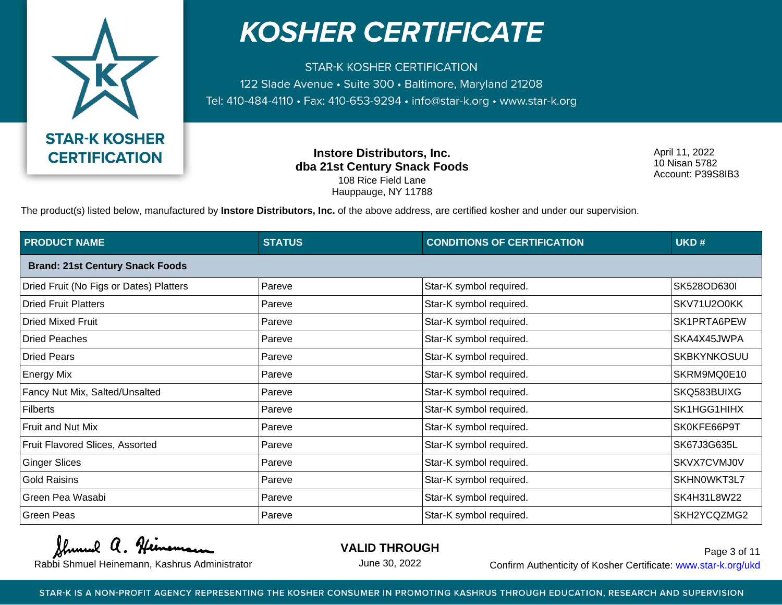

**STAR-K KOSHER CERTIFICATION** 122 Slade Avenue • Suite 300 • Baltimore, Maryland 21208 Tel: 410-484-4110 · Fax: 410-653-9294 · info@star-k.org · www.star-k.org

> **Instore Distributors, Inc. dba 21st Century Snack Foods** 108 Rice Field Lane Hauppauge, NY 11788

April 11, 2022 10 Nisan 5782 Account: P39S8IB3

The product(s) listed below, manufactured by **Instore Distributors, Inc.** of the above address, are certified kosher and under our supervision.

| <b>PRODUCT NAME</b>                     | <b>STATUS</b> | <b>CONDITIONS OF CERTIFICATION</b> | UKD#               |
|-----------------------------------------|---------------|------------------------------------|--------------------|
| <b>Brand: 21st Century Snack Foods</b>  |               |                                    |                    |
| Dried Fruit (No Figs or Dates) Platters | Pareve        | Star-K symbol required.            | SK528OD630I        |
| <b>Dried Fruit Platters</b>             | Pareve        | Star-K symbol required.            | SKV71U2O0KK        |
| <b>Dried Mixed Fruit</b>                | Pareve        | Star-K symbol required.            | SK1PRTA6PEW        |
| <b>Dried Peaches</b>                    | Pareve        | Star-K symbol required.            | SKA4X45JWPA        |
| <b>Dried Pears</b>                      | Pareve        | Star-K symbol required.            | <b>SKBKYNKOSUU</b> |
| <b>Energy Mix</b>                       | Pareve        | Star-K symbol required.            | SKRM9MQ0E10        |
| Fancy Nut Mix, Salted/Unsalted          | Pareve        | Star-K symbol required.            | SKQ583BUIXG        |
| <b>Filberts</b>                         | Pareve        | Star-K symbol required.            | SK1HGG1HIHX        |
| Fruit and Nut Mix                       | Pareve        | Star-K symbol required.            | SK0KFE66P9T        |
| Fruit Flavored Slices, Assorted         | Pareve        | Star-K symbol required.            | SK67J3G635L        |
| <b>Ginger Slices</b>                    | Pareve        | Star-K symbol required.            | SKVX7CVMJ0V        |
| <b>Gold Raisins</b>                     | Pareve        | Star-K symbol required.            | SKHN0WKT3L7        |
| Green Pea Wasabi                        | Pareve        | Star-K symbol required.            | SK4H31L8W22        |
| <b>Green Peas</b>                       | Pareve        | Star-K symbol required.            | SKH2YCQZMG2        |

Shumud a. Heinema

**VALID THROUGH**

June 30, 2022

Rabbi Shmuel Heinemann, Kashrus Administrator **Confirm Authenticity of Kosher Certificate:** www.star-k.org/ukd Page 3 of 11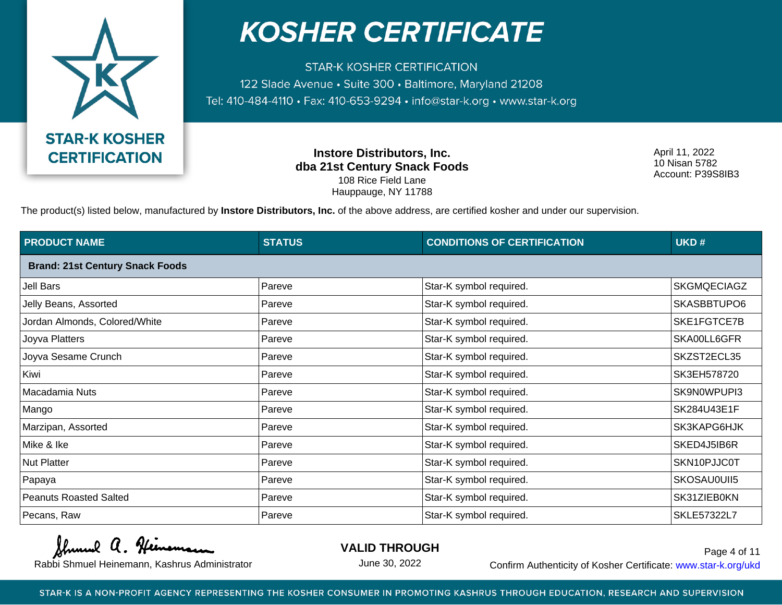

**STAR-K KOSHER CERTIFICATION** 122 Slade Avenue • Suite 300 • Baltimore, Maryland 21208 Tel: 410-484-4110 · Fax: 410-653-9294 · info@star-k.org · www.star-k.org

> **Instore Distributors, Inc. dba 21st Century Snack Foods** 108 Rice Field Lane Hauppauge, NY 11788

April 11, 2022 10 Nisan 5782 Account: P39S8IB3

The product(s) listed below, manufactured by **Instore Distributors, Inc.** of the above address, are certified kosher and under our supervision.

| <b>PRODUCT NAME</b>                    | <b>STATUS</b> | <b>CONDITIONS OF CERTIFICATION</b> | UKD#               |
|----------------------------------------|---------------|------------------------------------|--------------------|
| <b>Brand: 21st Century Snack Foods</b> |               |                                    |                    |
| <b>Jell Bars</b>                       | Pareve        | Star-K symbol required.            | <b>SKGMQECIAGZ</b> |
| Jelly Beans, Assorted                  | Pareve        | Star-K symbol required.            | SKASBBTUPO6        |
| Jordan Almonds, Colored/White          | Pareve        | Star-K symbol required.            | SKE1FGTCE7B        |
| Joyva Platters                         | Pareve        | Star-K symbol required.            | SKA00LL6GFR        |
| Joyva Sesame Crunch                    | Pareve        | Star-K symbol required.            | SKZST2ECL35        |
| Kiwi                                   | Pareve        | Star-K symbol required.            | SK3EH578720        |
| Macadamia Nuts                         | Pareve        | Star-K symbol required.            | SK9N0WPUPI3        |
| Mango                                  | Pareve        | Star-K symbol required.            | SK284U43E1F        |
| Marzipan, Assorted                     | Pareve        | Star-K symbol required.            | SK3KAPG6HJK        |
| Mike & Ike                             | Pareve        | Star-K symbol required.            | SKED4J5IB6R        |
| <b>Nut Platter</b>                     | Pareve        | Star-K symbol required.            | SKN10PJJC0T        |
| Papaya                                 | Pareve        | Star-K symbol required.            | SKOSAU0UII5        |
| <b>Peanuts Roasted Salted</b>          | Pareve        | Star-K symbol required.            | SK31ZIEB0KN        |
| Pecans, Raw                            | Pareve        | Star-K symbol required.            | <b>SKLE57322L7</b> |

Shumud a. Heinema

**VALID THROUGH**

June 30, 2022

Rabbi Shmuel Heinemann, Kashrus Administrator **Confirm Authenticity of Kosher Certificate:** www.star-k.org/ukd Page 4 of 11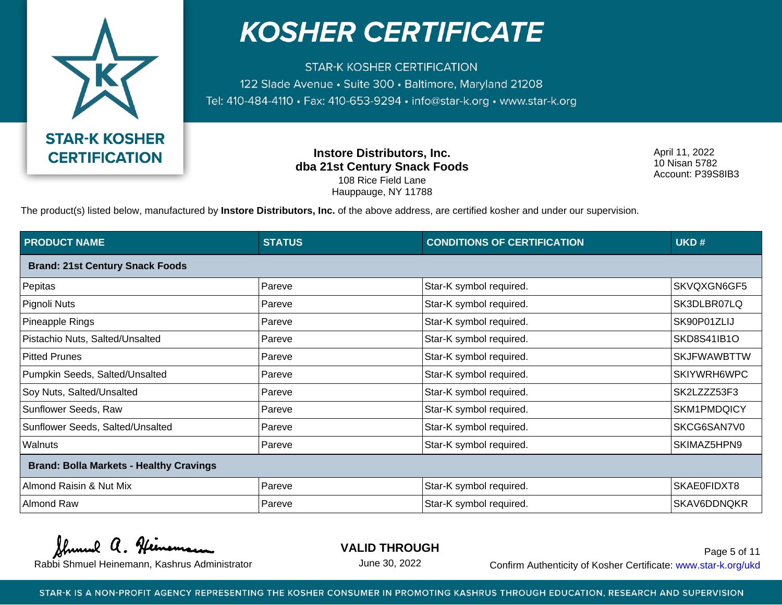

**STAR-K KOSHER CERTIFICATION** 122 Slade Avenue • Suite 300 • Baltimore, Maryland 21208 Tel: 410-484-4110 · Fax: 410-653-9294 · info@star-k.org · www.star-k.org

> **Instore Distributors, Inc. dba 21st Century Snack Foods** 108 Rice Field Lane Hauppauge, NY 11788

April 11, 2022 10 Nisan 5782 Account: P39S8IB3

The product(s) listed below, manufactured by **Instore Distributors, Inc.** of the above address, are certified kosher and under our supervision.

| <b>PRODUCT NAME</b>                            | <b>STATUS</b> | <b>CONDITIONS OF CERTIFICATION</b> | UKD#               |
|------------------------------------------------|---------------|------------------------------------|--------------------|
| <b>Brand: 21st Century Snack Foods</b>         |               |                                    |                    |
| Pepitas                                        | Pareve        | Star-K symbol required.            | SKVQXGN6GF5        |
| Pignoli Nuts                                   | Pareve        | Star-K symbol required.            | SK3DLBR07LQ        |
| Pineapple Rings                                | Pareve        | Star-K symbol required.            | SK90P01ZLIJ        |
| Pistachio Nuts, Salted/Unsalted                | Pareve        | Star-K symbol required.            | SKD8S41IB1O        |
| <b>Pitted Prunes</b>                           | Pareve        | Star-K symbol required.            | <b>SKJFWAWBTTW</b> |
| Pumpkin Seeds, Salted/Unsalted                 | Pareve        | Star-K symbol required.            | SKIYWRH6WPC        |
| Soy Nuts, Salted/Unsalted                      | Pareve        | Star-K symbol required.            | SK2LZZZ53F3        |
| Sunflower Seeds, Raw                           | Pareve        | Star-K symbol required.            | SKM1PMDQICY        |
| Sunflower Seeds, Salted/Unsalted               | Pareve        | Star-K symbol required.            | SKCG6SAN7V0        |
| Walnuts                                        | Pareve        | Star-K symbol required.            | SKIMAZ5HPN9        |
| <b>Brand: Bolla Markets - Healthy Cravings</b> |               |                                    |                    |
| Almond Raisin & Nut Mix                        | Pareve        | Star-K symbol required.            | SKAE0FIDXT8        |
| Almond Raw                                     | Pareve        | Star-K symbol required.            | SKAV6DDNQKR        |

Shumud a. Heinema

**VALID THROUGH**

June 30, 2022

Rabbi Shmuel Heinemann, Kashrus Administrator **Confirm Authenticity of Kosher Certificate:** www.star-k.org/ukd Page 5 of 11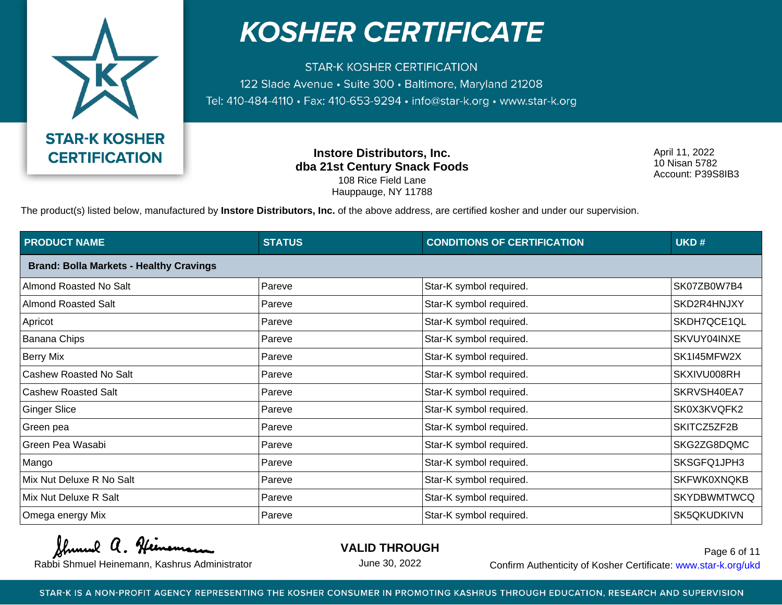

**STAR-K KOSHER CERTIFICATION** 122 Slade Avenue • Suite 300 • Baltimore, Maryland 21208 Tel: 410-484-4110 · Fax: 410-653-9294 · info@star-k.org · www.star-k.org

> **Instore Distributors, Inc. dba 21st Century Snack Foods** 108 Rice Field Lane Hauppauge, NY 11788

April 11, 2022 10 Nisan 5782 Account: P39S8IB3

The product(s) listed below, manufactured by **Instore Distributors, Inc.** of the above address, are certified kosher and under our supervision.

| <b>PRODUCT NAME</b>                            | <b>STATUS</b> | <b>CONDITIONS OF CERTIFICATION</b> | UKD#               |
|------------------------------------------------|---------------|------------------------------------|--------------------|
| <b>Brand: Bolla Markets - Healthy Cravings</b> |               |                                    |                    |
| Almond Roasted No Salt                         | Pareve        | Star-K symbol required.            | SK07ZB0W7B4        |
| <b>Almond Roasted Salt</b>                     | Pareve        | Star-K symbol required.            | SKD2R4HNJXY        |
| Apricot                                        | Pareve        | Star-K symbol required.            | SKDH7QCE1QL        |
| Banana Chips                                   | Pareve        | Star-K symbol required.            | SKVUY04INXE        |
| <b>Berry Mix</b>                               | Pareve        | Star-K symbol required.            | SK1I45MFW2X        |
| Cashew Roasted No Salt                         | Pareve        | Star-K symbol required.            | SKXIVU008RH        |
| <b>Cashew Roasted Salt</b>                     | Pareve        | Star-K symbol required.            | SKRVSH40EA7        |
| <b>Ginger Slice</b>                            | Pareve        | Star-K symbol required.            | SK0X3KVQFK2        |
| Green pea                                      | Pareve        | Star-K symbol required.            | SKITCZ5ZF2B        |
| Green Pea Wasabi                               | Pareve        | Star-K symbol required.            | SKG2ZG8DQMC        |
| Mango                                          | Pareve        | Star-K symbol required.            | SKSGFQ1JPH3        |
| Mix Nut Deluxe R No Salt                       | Pareve        | Star-K symbol required.            | <b>SKFWK0XNQKB</b> |
| Mix Nut Deluxe R Salt                          | Pareve        | Star-K symbol required.            | <b>SKYDBWMTWCQ</b> |
| Omega energy Mix                               | Pareve        | Star-K symbol required.            | SK5QKUDKIVN        |

Shumud a. Heinema

**VALID THROUGH**

June 30, 2022

Rabbi Shmuel Heinemann, Kashrus Administrator **Confirm Authenticity of Kosher Certificate:** www.star-k.org/ukd Page 6 of 11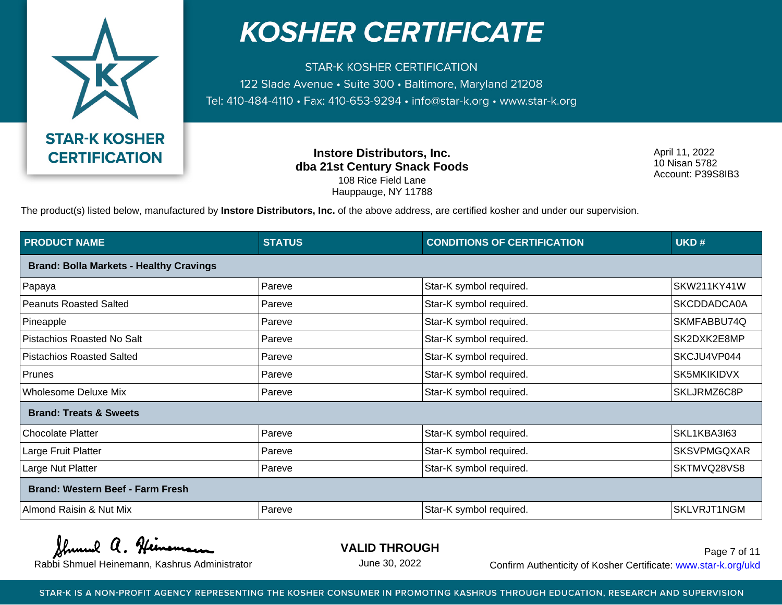

**STAR-K KOSHER CERTIFICATION** 122 Slade Avenue • Suite 300 • Baltimore, Maryland 21208 Tel: 410-484-4110 · Fax: 410-653-9294 · info@star-k.org · www.star-k.org

> **Instore Distributors, Inc. dba 21st Century Snack Foods** 108 Rice Field Lane Hauppauge, NY 11788

April 11, 2022 10 Nisan 5782 Account: P39S8IB3

The product(s) listed below, manufactured by **Instore Distributors, Inc.** of the above address, are certified kosher and under our supervision.

| <b>PRODUCT NAME</b>                            | <b>STATUS</b> | <b>CONDITIONS OF CERTIFICATION</b> | UKD#               |
|------------------------------------------------|---------------|------------------------------------|--------------------|
| <b>Brand: Bolla Markets - Healthy Cravings</b> |               |                                    |                    |
| Papaya                                         | Pareve        | Star-K symbol required.            | <b>SKW211KY41W</b> |
| <b>Peanuts Roasted Salted</b>                  | Pareve        | Star-K symbol required.            | SKCDDADCA0A        |
| Pineapple                                      | Pareve        | Star-K symbol required.            | SKMFABBU74Q        |
| Pistachios Roasted No Salt                     | Pareve        | Star-K symbol required.            | SK2DXK2E8MP        |
| <b>Pistachios Roasted Salted</b>               | Pareve        | Star-K symbol required.            | SKCJU4VP044        |
| Prunes                                         | Pareve        | Star-K symbol required.            | SK5MKIKIDVX        |
| <b>Wholesome Deluxe Mix</b>                    | Pareve        | Star-K symbol required.            | SKLJRMZ6C8P        |
| <b>Brand: Treats &amp; Sweets</b>              |               |                                    |                    |
| Chocolate Platter                              | Pareve        | Star-K symbol required.            | SKL1KBA3I63        |
| Large Fruit Platter                            | Pareve        | Star-K symbol required.            | <b>SKSVPMGQXAR</b> |
| Large Nut Platter                              | Pareve        | Star-K symbol required.            | SKTMVQ28VS8        |
| Brand: Western Beef - Farm Fresh               |               |                                    |                    |
| Almond Raisin & Nut Mix                        | Pareve        | Star-K symbol required.            | SKLVRJT1NGM        |

Shumul a. Heineman

**VALID THROUGH**

June 30, 2022

Rabbi Shmuel Heinemann, Kashrus Administrator **Confirm Authenticity of Kosher Certificate:** www.star-k.org/ukd Page 7 of 11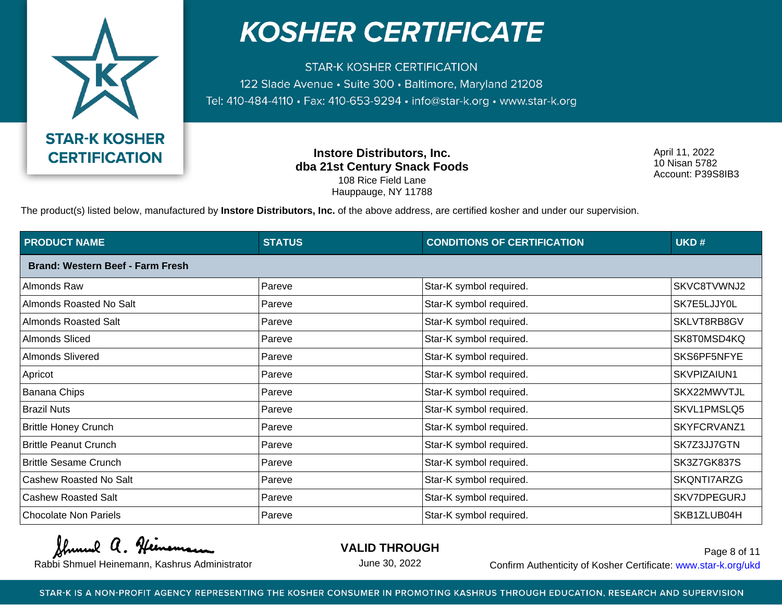

**STAR-K KOSHER CERTIFICATION** 122 Slade Avenue • Suite 300 • Baltimore, Maryland 21208 Tel: 410-484-4110 · Fax: 410-653-9294 · info@star-k.org · www.star-k.org

> **Instore Distributors, Inc. dba 21st Century Snack Foods** 108 Rice Field Lane Hauppauge, NY 11788

April 11, 2022 10 Nisan 5782 Account: P39S8IB3

The product(s) listed below, manufactured by **Instore Distributors, Inc.** of the above address, are certified kosher and under our supervision.

| <b>PRODUCT NAME</b>                     | <b>STATUS</b> | <b>CONDITIONS OF CERTIFICATION</b> | UKD#        |
|-----------------------------------------|---------------|------------------------------------|-------------|
| <b>Brand: Western Beef - Farm Fresh</b> |               |                                    |             |
| Almonds Raw                             | Pareve        | Star-K symbol required.            | SKVC8TVWNJ2 |
| Almonds Roasted No Salt                 | Pareve        | Star-K symbol required.            | SK7E5LJJY0L |
| <b>Almonds Roasted Salt</b>             | Pareve        | Star-K symbol required.            | SKLVT8RB8GV |
| <b>Almonds Sliced</b>                   | Pareve        | Star-K symbol required.            | SK8T0MSD4KQ |
| <b>Almonds Slivered</b>                 | Pareve        | Star-K symbol required.            | SKS6PF5NFYE |
| Apricot                                 | Pareve        | Star-K symbol required.            | SKVPIZAIUN1 |
| Banana Chips                            | Pareve        | Star-K symbol required.            | SKX22MWVTJL |
| <b>Brazil Nuts</b>                      | Pareve        | Star-K symbol required.            | SKVL1PMSLQ5 |
| <b>Brittle Honey Crunch</b>             | Pareve        | Star-K symbol required.            | SKYFCRVANZ1 |
| <b>Brittle Peanut Crunch</b>            | Pareve        | Star-K symbol required.            | SK7Z3JJ7GTN |
| <b>Brittle Sesame Crunch</b>            | Pareve        | Star-K symbol required.            | SK3Z7GK837S |
| Cashew Roasted No Salt                  | Pareve        | Star-K symbol required.            | SKQNTI7ARZG |
| <b>Cashew Roasted Salt</b>              | Pareve        | Star-K symbol required.            | SKV7DPEGURJ |
| <b>Chocolate Non Pariels</b>            | Pareve        | Star-K symbol required.            | SKB1ZLUB04H |

Shumud a. Heinema

**VALID THROUGH**

June 30, 2022

Rabbi Shmuel Heinemann, Kashrus Administrator **Confirm Authenticity of Kosher Certificate:** www.star-k.org/ukd Page 8 of 11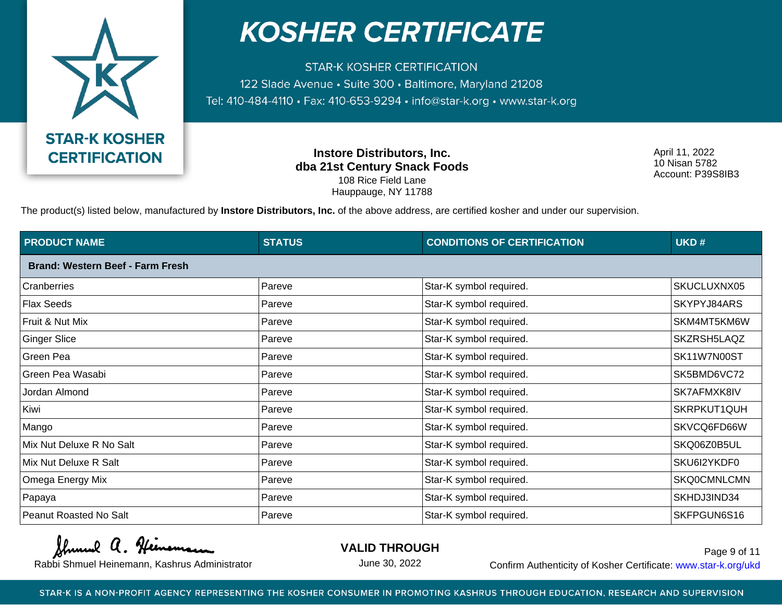

**STAR-K KOSHER CERTIFICATION** 122 Slade Avenue · Suite 300 · Baltimore, Maryland 21208 Tel: 410-484-4110 · Fax: 410-653-9294 · info@star-k.org · www.star-k.org

> **Instore Distributors, Inc. dba 21st Century Snack Foods** 108 Rice Field Lane Hauppauge, NY 11788

April 11, 2022 10 Nisan 5782 Account: P39S8IB3

The product(s) listed below, manufactured by **Instore Distributors, Inc.** of the above address, are certified kosher and under our supervision.

| <b>PRODUCT NAME</b>                     | <b>STATUS</b> | <b>CONDITIONS OF CERTIFICATION</b> | UKD#               |
|-----------------------------------------|---------------|------------------------------------|--------------------|
| <b>Brand: Western Beef - Farm Fresh</b> |               |                                    |                    |
| Cranberries                             | Pareve        | Star-K symbol required.            | SKUCLUXNX05        |
| <b>Flax Seeds</b>                       | Pareve        | Star-K symbol required.            | SKYPYJ84ARS        |
| Fruit & Nut Mix                         | Pareve        | Star-K symbol required.            | SKM4MT5KM6W        |
| <b>Ginger Slice</b>                     | Pareve        | Star-K symbol required.            | SKZRSH5LAQZ        |
| Green Pea                               | Pareve        | Star-K symbol required.            | SK11W7N00ST        |
| Green Pea Wasabi                        | Pareve        | Star-K symbol required.            | SK5BMD6VC72        |
| Jordan Almond                           | Pareve        | Star-K symbol required.            | SK7AFMXK8IV        |
| Kiwi                                    | Pareve        | Star-K symbol required.            | SKRPKUT1QUH        |
| Mango                                   | Pareve        | Star-K symbol required.            | SKVCQ6FD66W        |
| Mix Nut Deluxe R No Salt                | Pareve        | Star-K symbol required.            | SKQ06Z0B5UL        |
| Mix Nut Deluxe R Salt                   | Pareve        | Star-K symbol required.            | SKU6I2YKDF0        |
| Omega Energy Mix                        | Pareve        | Star-K symbol required.            | <b>SKQ0CMNLCMN</b> |
| Papaya                                  | Pareve        | Star-K symbol required.            | SKHDJ3IND34        |
| Peanut Roasted No Salt                  | Pareve        | Star-K symbol required.            | SKFPGUN6S16        |

Shumud a. Heinema

**VALID THROUGH**

June 30, 2022

Rabbi Shmuel Heinemann, Kashrus Administrator **Confirm Authenticity of Kosher Certificate:** www.star-k.org/ukd Page 9 of 11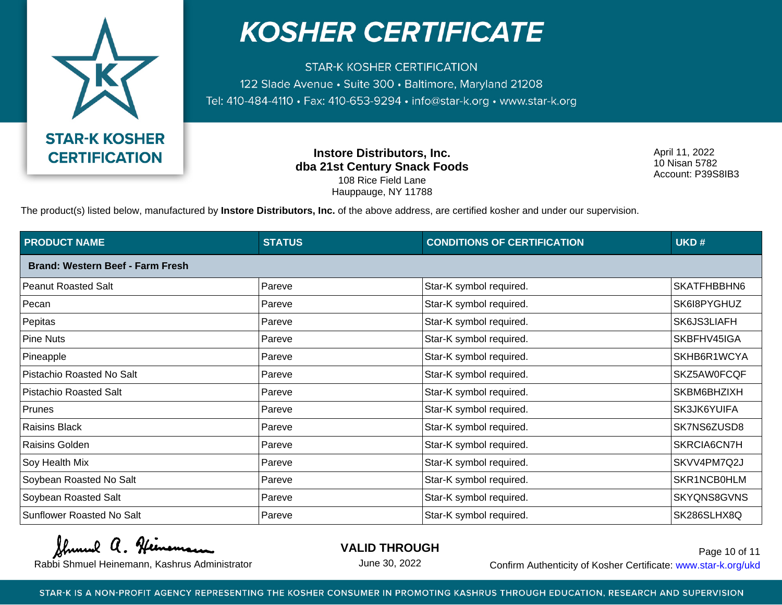

**STAR-K KOSHER CERTIFICATION** 122 Slade Avenue · Suite 300 · Baltimore, Maryland 21208 Tel: 410-484-4110 · Fax: 410-653-9294 · info@star-k.org · www.star-k.org

> **Instore Distributors, Inc. dba 21st Century Snack Foods** 108 Rice Field Lane Hauppauge, NY 11788

April 11, 2022 10 Nisan 5782 Account: P39S8IB3

The product(s) listed below, manufactured by **Instore Distributors, Inc.** of the above address, are certified kosher and under our supervision.

| <b>PRODUCT NAME</b>                     | <b>STATUS</b> | <b>CONDITIONS OF CERTIFICATION</b> | UKD#        |
|-----------------------------------------|---------------|------------------------------------|-------------|
| <b>Brand: Western Beef - Farm Fresh</b> |               |                                    |             |
| <b>Peanut Roasted Salt</b>              | Pareve        | Star-K symbol required.            | SKATFHBBHN6 |
| Pecan                                   | Pareve        | Star-K symbol required.            | SK6I8PYGHUZ |
| Pepitas                                 | Pareve        | Star-K symbol required.            | SK6JS3LIAFH |
| Pine Nuts                               | Pareve        | Star-K symbol required.            | SKBFHV45IGA |
| Pineapple                               | Pareve        | Star-K symbol required.            | SKHB6R1WCYA |
| Pistachio Roasted No Salt               | Pareve        | Star-K symbol required.            | SKZ5AW0FCQF |
| <b>Pistachio Roasted Salt</b>           | Pareve        | Star-K symbol required.            | SKBM6BHZIXH |
| Prunes                                  | Pareve        | Star-K symbol required.            | SK3JK6YUIFA |
| <b>Raisins Black</b>                    | Pareve        | Star-K symbol required.            | SK7NS6ZUSD8 |
| Raisins Golden                          | Pareve        | Star-K symbol required.            | SKRCIA6CN7H |
| Soy Health Mix                          | Pareve        | Star-K symbol required.            | SKVV4PM7Q2J |
| Soybean Roasted No Salt                 | Pareve        | Star-K symbol required.            | SKR1NCB0HLM |
| Soybean Roasted Salt                    | Pareve        | Star-K symbol required.            | SKYQNS8GVNS |
| <b>Sunflower Roasted No Salt</b>        | Pareve        | Star-K symbol required.            | SK286SLHX8Q |

Shumul a. Heineman

**VALID THROUGH**

June 30, 2022

Rabbi Shmuel Heinemann, Kashrus Administrator **Confirm Authenticity of Kosher Certificate:** www.star-k.org/ukd Page 10 of 11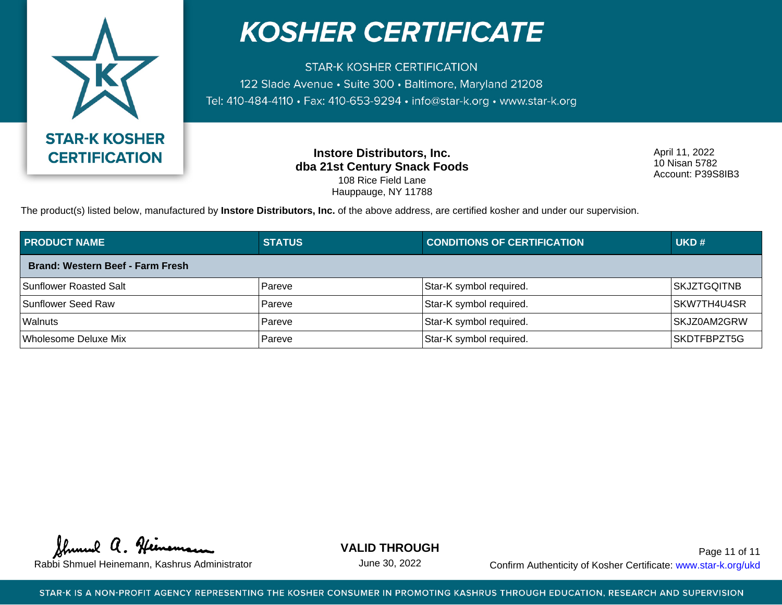

**STAR-K KOSHER CERTIFICATION** 122 Slade Avenue · Suite 300 · Baltimore, Maryland 21208 Tel: 410-484-4110 · Fax: 410-653-9294 · info@star-k.org · www.star-k.org

> **Instore Distributors, Inc. dba 21st Century Snack Foods** 108 Rice Field Lane Hauppauge, NY 11788

April 11, 2022 10 Nisan 5782 Account: P39S8IB3

The product(s) listed below, manufactured by **Instore Distributors, Inc.** of the above address, are certified kosher and under our supervision.

| <b>PRODUCT NAME</b>                     | <b>STATUS</b> | <b>CONDITIONS OF CERTIFICATION</b> | UKD#               |
|-----------------------------------------|---------------|------------------------------------|--------------------|
| <b>Brand: Western Beef - Farm Fresh</b> |               |                                    |                    |
| Sunflower Roasted Salt                  | Pareve        | Star-K symbol required.            | SKJZTGQITNB        |
| Sunflower Seed Raw                      | Pareve        | Star-K symbol required.            | ISKW7TH4U4SR       |
| Walnuts                                 | Pareve        | Star-K symbol required.            | SKJZ0AM2GRW        |
| Wholesome Deluxe Mix                    | Pareve        | Star-K symbol required.            | <b>SKDTFBPZT5G</b> |

Shumul a. Heineman

**VALID THROUGH**

June 30, 2022

Rabbi Shmuel Heinemann, Kashrus Administrator **Confirm Authenticity of Kosher Certificate:** www.star-k.org/ukd Page 11 of 11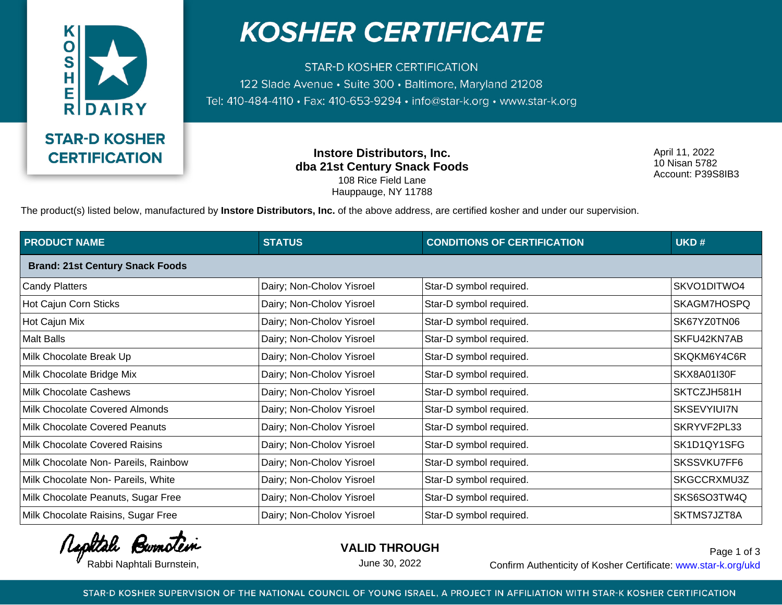

**STAR-D KOSHER CERTIFICATION** 122 Slade Avenue · Suite 300 · Baltimore, Maryland 21208 Tel: 410-484-4110 · Fax: 410-653-9294 · info@star-k.org · www.star-k.org

> **Instore Distributors, Inc. dba 21st Century Snack Foods** 108 Rice Field Lane Hauppauge, NY 11788

April 11, 2022 10 Nisan 5782 Account: P39S8IB3

The product(s) listed below, manufactured by **Instore Distributors, Inc.** of the above address, are certified kosher and under our supervision.

| <b>PRODUCT NAME</b>                    | <b>STATUS</b>             | <b>CONDITIONS OF CERTIFICATION</b> | UKD#               |
|----------------------------------------|---------------------------|------------------------------------|--------------------|
| <b>Brand: 21st Century Snack Foods</b> |                           |                                    |                    |
| <b>Candy Platters</b>                  | Dairy; Non-Cholov Yisroel | Star-D symbol required.            | SKVO1DITWO4        |
| Hot Cajun Corn Sticks                  | Dairy; Non-Cholov Yisroel | Star-D symbol required.            | SKAGM7HOSPQ        |
| Hot Cajun Mix                          | Dairy; Non-Cholov Yisroel | Star-D symbol required.            | SK67YZ0TN06        |
| Malt Balls                             | Dairy; Non-Cholov Yisroel | Star-D symbol required.            | SKFU42KN7AB        |
| Milk Chocolate Break Up                | Dairy; Non-Cholov Yisroel | Star-D symbol required.            | SKQKM6Y4C6R        |
| Milk Chocolate Bridge Mix              | Dairy; Non-Cholov Yisroel | Star-D symbol required.            | <b>SKX8A01I30F</b> |
| <b>Milk Chocolate Cashews</b>          | Dairy; Non-Cholov Yisroel | Star-D symbol required.            | SKTCZJH581H        |
| Milk Chocolate Covered Almonds         | Dairy; Non-Cholov Yisroel | Star-D symbol required.            | SKSEVYIUI7N        |
| Milk Chocolate Covered Peanuts         | Dairy; Non-Cholov Yisroel | Star-D symbol required.            | SKRYVF2PL33        |
| Milk Chocolate Covered Raisins         | Dairy; Non-Cholov Yisroel | Star-D symbol required.            | SK1D1QY1SFG        |
| Milk Chocolate Non- Pareils, Rainbow   | Dairy; Non-Cholov Yisroel | Star-D symbol required.            | SKSSVKU7FF6        |
| Milk Chocolate Non- Pareils, White     | Dairy; Non-Cholov Yisroel | Star-D symbol required.            | SKGCCRXMU3Z        |
| Milk Chocolate Peanuts, Sugar Free     | Dairy; Non-Cholov Yisroel | Star-D symbol required.            | SKS6SO3TW4Q        |
| Milk Chocolate Raisins, Sugar Free     | Dairy; Non-Cholov Yisroel | Star-D symbol required.            | SKTMS7JZT8A        |

Rephtale Burnotein

**VALID THROUGH**

June 30, 2022

Rabbi Naphtali Burnstein, The Confirm Authenticity of Kosher Certificate: www.star-k.org/ukd Page 1 of 3

STAR-D KOSHER SUPERVISION OF THE NATIONAL COUNCIL OF YOUNG ISRAEL, A PROJECT IN AFFILIATION WITH STAR-K KOSHER CERTIFICATION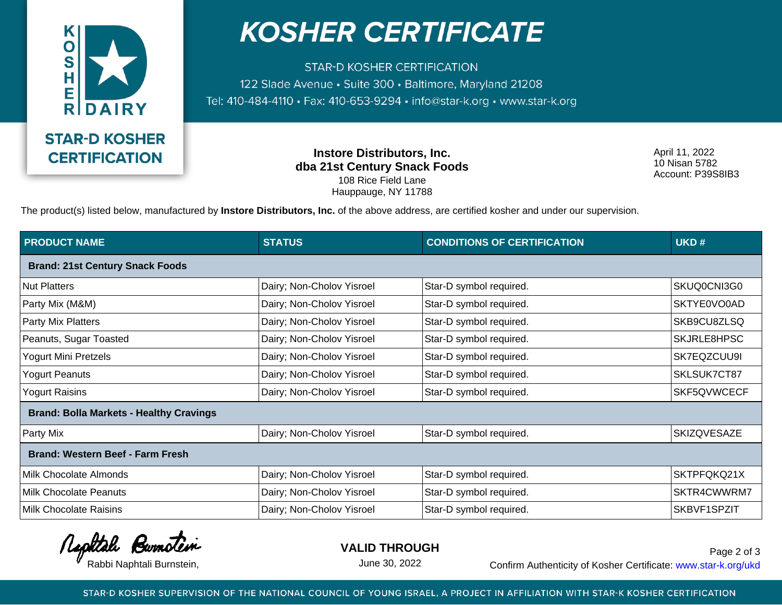

**STAR-D KOSHER CERTIFICATION** 122 Slade Avenue · Suite 300 · Baltimore, Maryland 21208 Tel: 410-484-4110 · Fax: 410-653-9294 · info@star-k.org · www.star-k.org

> **Instore Distributors, Inc. dba 21st Century Snack Foods** 108 Rice Field Lane Hauppauge, NY 11788

April 11, 2022 10 Nisan 5782 Account: P39S8IB3

The product(s) listed below, manufactured by **Instore Distributors, Inc.** of the above address, are certified kosher and under our supervision.

| <b>PRODUCT NAME</b>                            | <b>STATUS</b>             | <b>CONDITIONS OF CERTIFICATION</b> | UKD#               |  |
|------------------------------------------------|---------------------------|------------------------------------|--------------------|--|
| <b>Brand: 21st Century Snack Foods</b>         |                           |                                    |                    |  |
| <b>Nut Platters</b>                            | Dairy; Non-Cholov Yisroel | Star-D symbol required.            | SKUQ0CNI3G0        |  |
| Party Mix (M&M)                                | Dairy; Non-Cholov Yisroel | Star-D symbol required.            | SKTYE0VO0AD        |  |
| Party Mix Platters                             | Dairy; Non-Cholov Yisroel | Star-D symbol required.            | SKB9CU8ZLSQ        |  |
| Peanuts, Sugar Toasted                         | Dairy; Non-Cholov Yisroel | Star-D symbol required.            | SKJRLE8HPSC        |  |
| Yogurt Mini Pretzels                           | Dairy; Non-Cholov Yisroel | Star-D symbol required.            | SK7EQZCUU9I        |  |
| <b>Yogurt Peanuts</b>                          | Dairy; Non-Cholov Yisroel | Star-D symbol required.            | SKLSUK7CT87        |  |
| <b>Yogurt Raisins</b>                          | Dairy; Non-Cholov Yisroel | Star-D symbol required.            | SKF5QVWCECF        |  |
| <b>Brand: Bolla Markets - Healthy Cravings</b> |                           |                                    |                    |  |
| Party Mix                                      | Dairy; Non-Cholov Yisroel | Star-D symbol required.            | <b>SKIZQVESAZE</b> |  |
| <b>Brand: Western Beef - Farm Fresh</b>        |                           |                                    |                    |  |
| Milk Chocolate Almonds                         | Dairy; Non-Cholov Yisroel | Star-D symbol required.            | SKTPFQKQ21X        |  |
| Milk Chocolate Peanuts                         | Dairy; Non-Cholov Yisroel | Star-D symbol required.            | SKTR4CWWRM7        |  |
| <b>Milk Chocolate Raisins</b>                  | Dairy; Non-Cholov Yisroel | Star-D symbol required.            | SKBVF1SPZIT        |  |

Rephtale Burnotein

**VALID THROUGH**

June 30, 2022

Rabbi Naphtali Burnstein, The Confirm Authenticity of Kosher Certificate: www.star-k.org/ukd Page 2 of 3

STAR-D KOSHER SUPERVISION OF THE NATIONAL COUNCIL OF YOUNG ISRAEL, A PROJECT IN AFFILIATION WITH STAR-K KOSHER CERTIFICATION